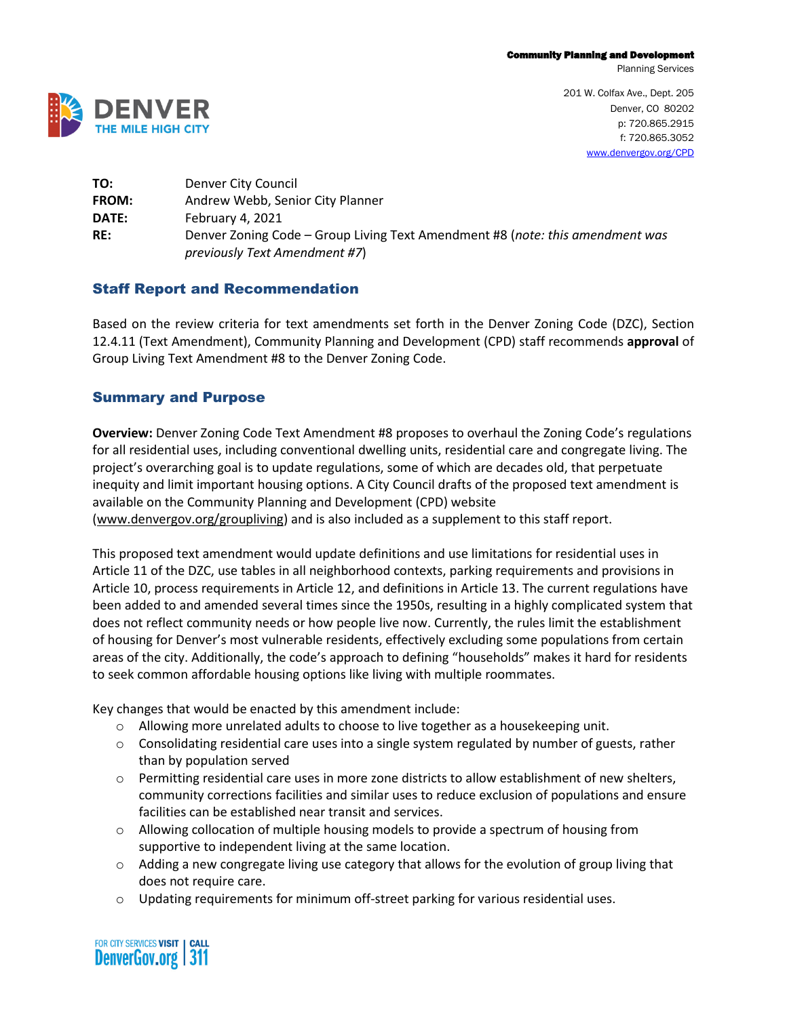Planning Services



201 W. Colfax Ave., Dept. 205 Denver, CO 80202 p: 720.865.2915 f: 720.865.3052 [www.denvergov.org/CPD](http://www.denvergov.org/CPD)

| TO:   | Denver City Council                                                                                            |
|-------|----------------------------------------------------------------------------------------------------------------|
| FROM: | Andrew Webb, Senior City Planner                                                                               |
| DATE: | February 4, 2021                                                                                               |
| RE:   | Denver Zoning Code – Group Living Text Amendment #8 (note: this amendment was<br>previously Text Amendment #7) |

# Staff Report and Recommendation

Based on the review criteria for text amendments set forth in the Denver Zoning Code (DZC), Section 12.4.11 (Text Amendment), Community Planning and Development (CPD) staff recommends **approval** of Group Living Text Amendment #8 to the Denver Zoning Code.

# Summary and Purpose

**Overview:** Denver Zoning Code Text Amendment #8 proposes to overhaul the Zoning Code's regulations for all residential uses, including conventional dwelling units, residential care and congregate living. The project's overarching goal is to update regulations, some of which are decades old, that perpetuate inequity and limit important housing options. A City Council drafts of the proposed text amendment is available on the Community Planning and Development (CPD) website [\(www.denvergov.org/groupliving\)](http://www.denvergov.org/groupliving) and is also included as a supplement to this staff report.

This proposed text amendment would update definitions and use limitations for residential uses in Article 11 of the DZC, use tables in all neighborhood contexts, parking requirements and provisions in Article 10, process requirements in Article 12, and definitions in Article 13. The current regulations have been added to and amended several times since the 1950s, resulting in a highly complicated system that does not reflect community needs or how people live now. Currently, the rules limit the establishment of housing for Denver's most vulnerable residents, effectively excluding some populations from certain areas of the city. Additionally, the code's approach to defining "households" makes it hard for residents to seek common affordable housing options like living with multiple roommates.

Key changes that would be enacted by this amendment include:

- o Allowing more unrelated adults to choose to live together as a housekeeping unit.
- $\circ$  Consolidating residential care uses into a single system regulated by number of guests, rather than by population served
- $\circ$  Permitting residential care uses in more zone districts to allow establishment of new shelters, community corrections facilities and similar uses to reduce exclusion of populations and ensure facilities can be established near transit and services.
- $\circ$  Allowing collocation of multiple housing models to provide a spectrum of housing from supportive to independent living at the same location.
- $\circ$  Adding a new congregate living use category that allows for the evolution of group living that does not require care.
- o Updating requirements for minimum off-street parking for various residential uses.

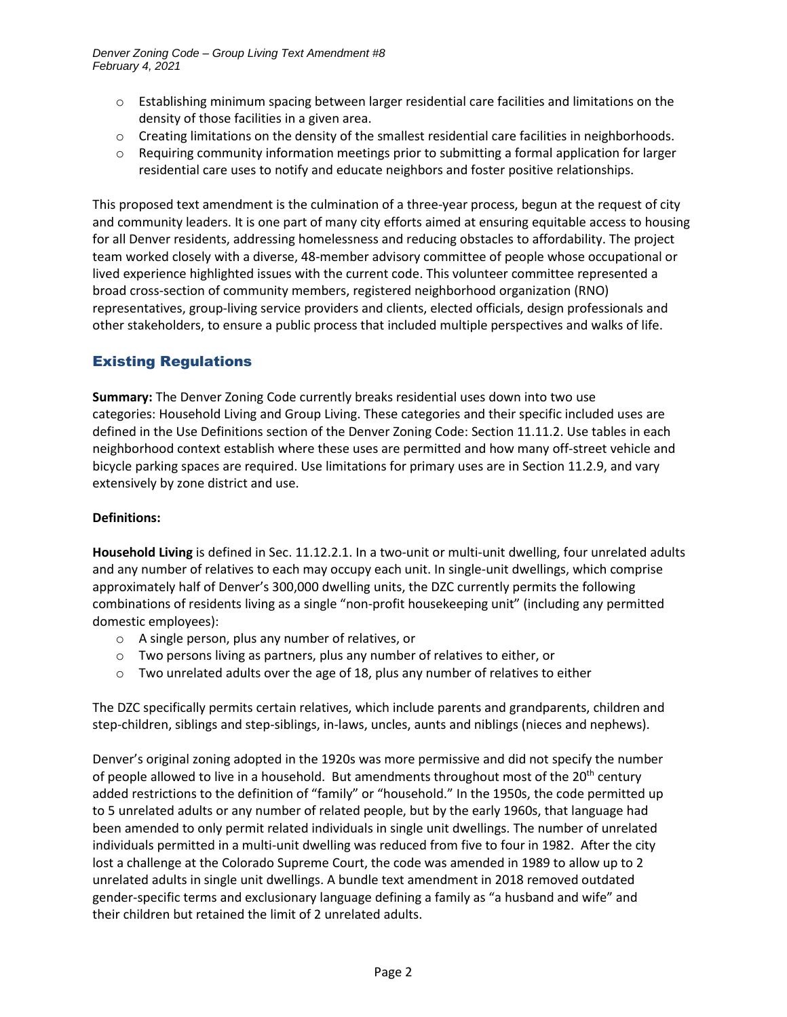- $\circ$  Establishing minimum spacing between larger residential care facilities and limitations on the density of those facilities in a given area.
- $\circ$  Creating limitations on the density of the smallest residential care facilities in neighborhoods.
- $\circ$  Requiring community information meetings prior to submitting a formal application for larger residential care uses to notify and educate neighbors and foster positive relationships.

This proposed text amendment is the culmination of a three-year process, begun at the request of city and community leaders. It is one part of many city efforts aimed at ensuring equitable access to housing for all Denver residents, addressing homelessness and reducing obstacles to affordability. The project team worked closely with a diverse, 48-member advisory committee of people whose occupational or lived experience highlighted issues with the current code. This volunteer committee represented a broad cross-section of community members, registered neighborhood organization (RNO) representatives, group-living service providers and clients, elected officials, design professionals and other stakeholders, to ensure a public process that included multiple perspectives and walks of life.

# Existing Regulations

**Summary:** The Denver Zoning Code currently breaks residential uses down into two use categories: Household Living and Group Living. These categories and their specific included uses are defined in the Use Definitions section of the Denver Zoning Code: Section 11.11.2. Use tables in each neighborhood context establish where these uses are permitted and how many off-street vehicle and bicycle parking spaces are required. Use limitations for primary uses are in Section 11.2.9, and vary extensively by zone district and use.

# **Definitions:**

**Household Living** is defined in Sec. 11.12.2.1. In a two-unit or multi-unit dwelling, four unrelated adults and any number of relatives to each may occupy each unit. In single-unit dwellings, which comprise approximately half of Denver's 300,000 dwelling units, the DZC currently permits the following combinations of residents living as a single "non-profit housekeeping unit" (including any permitted domestic employees):

- o A single person, plus any number of relatives, or
- o Two persons living as partners, plus any number of relatives to either, or
- $\circ$  Two unrelated adults over the age of 18, plus any number of relatives to either

The DZC specifically permits certain relatives, which include parents and grandparents, children and step-children, siblings and step-siblings, in-laws, uncles, aunts and niblings (nieces and nephews).

Denver's original zoning adopted in the 1920s was more permissive and did not specify the number of people allowed to live in a household. But amendments throughout most of the  $20<sup>th</sup>$  century added restrictions to the definition of "family" or "household." In the 1950s, the code permitted up to 5 unrelated adults or any number of related people, but by the early 1960s, that language had been amended to only permit related individuals in single unit dwellings. The number of unrelated individuals permitted in a multi-unit dwelling was reduced from five to four in 1982. After the city lost a challenge at the Colorado Supreme Court, the code was amended in 1989 to allow up to 2 unrelated adults in single unit dwellings. A bundle text amendment in 2018 removed outdated gender-specific terms and exclusionary language defining a family as "a husband and wife" and their children but retained the limit of 2 unrelated adults.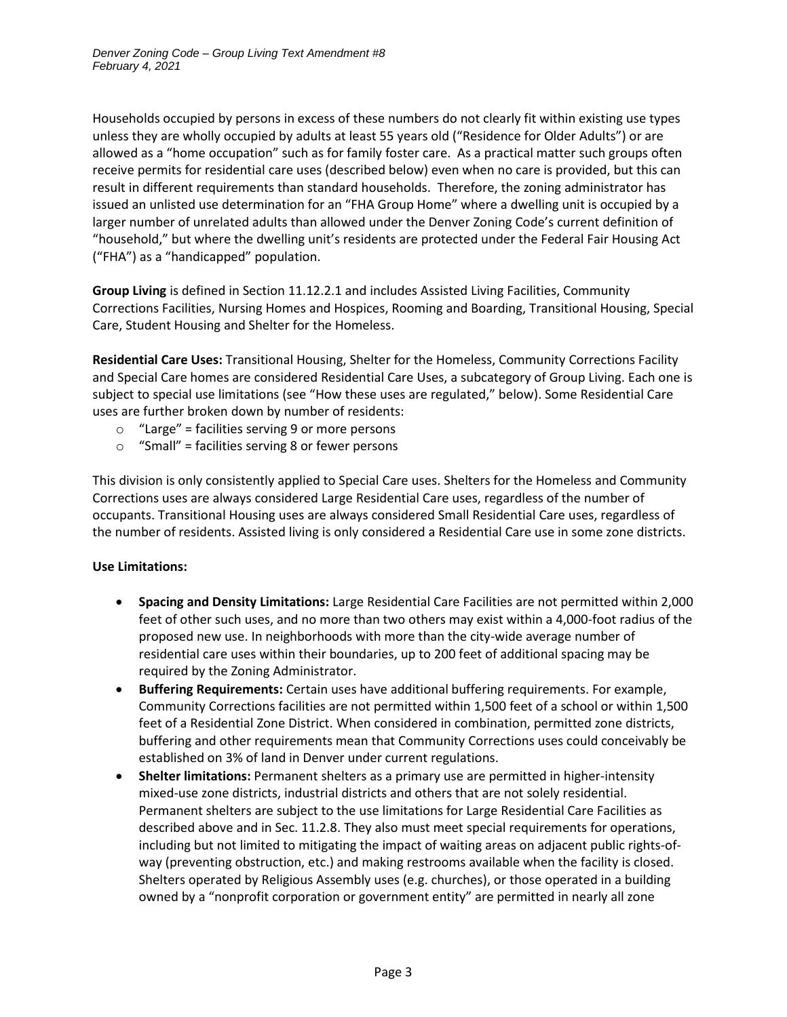Households occupied by persons in excess of these numbers do not clearly fit within existing use types unless they are wholly occupied by adults at least 55 years old ("Residence for Older Adults") or are allowed as a "home occupation" such as for family foster care. As a practical matter such groups often receive permits for residential care uses (described below) even when no care is provided, but this can result in different requirements than standard households. Therefore, the zoning administrator has issued an unlisted use determination for an "FHA Group Home" where a dwelling unit is occupied by a larger number of unrelated adults than allowed under the Denver Zoning Code's current definition of "household," but where the dwelling unit's residents are protected under the Federal Fair Housing Act ("FHA") as a "handicapped" population.

**Group Living** is defined in Section 11.12.2.1 and includes Assisted Living Facilities, Community Corrections Facilities, Nursing Homes and Hospices, Rooming and Boarding, Transitional Housing, Special Care, Student Housing and Shelter for the Homeless.

**Residential Care Uses:** Transitional Housing, Shelter for the Homeless, Community Corrections Facility and Special Care homes are considered Residential Care Uses, a subcategory of Group Living. Each one is subject to special use limitations (see "How these uses are regulated," below). Some Residential Care uses are further broken down by number of residents:

- $\circ$  "Large" = facilities serving 9 or more persons
- $\circ$  "Small" = facilities serving 8 or fewer persons

This division is only consistently applied to Special Care uses. Shelters for the Homeless and Community Corrections uses are always considered Large Residential Care uses, regardless of the number of occupants. Transitional Housing uses are always considered Small Residential Care uses, regardless of the number of residents. Assisted living is only considered a Residential Care use in some zone districts.

#### **Use Limitations:**

- **Spacing and Density Limitations:** Large Residential Care Facilities are not permitted within 2,000 feet of other such uses, and no more than two others may exist within a 4,000-foot radius of the proposed new use. In neighborhoods with more than the city-wide average number of residential care uses within their boundaries, up to 200 feet of additional spacing may be required by the Zoning Administrator.
- **Buffering Requirements:** Certain uses have additional buffering requirements. For example, Community Corrections facilities are not permitted within 1,500 feet of a school or within 1,500 feet of a Residential Zone District. When considered in combination, permitted zone districts, buffering and other requirements mean that Community Corrections uses could conceivably be established on 3% of land in Denver under current regulations.
- **Shelter limitations:** Permanent shelters as a primary use are permitted in higher-intensity mixed-use zone districts, industrial districts and others that are not solely residential. Permanent shelters are subject to the use limitations for Large Residential Care Facilities as described above and in Sec. 11.2.8. They also must meet special requirements for operations, including but not limited to mitigating the impact of waiting areas on adjacent public rights-ofway (preventing obstruction, etc.) and making restrooms available when the facility is closed. Shelters operated by Religious Assembly uses (e.g. churches), or those operated in a building owned by a "nonprofit corporation or government entity" are permitted in nearly all zone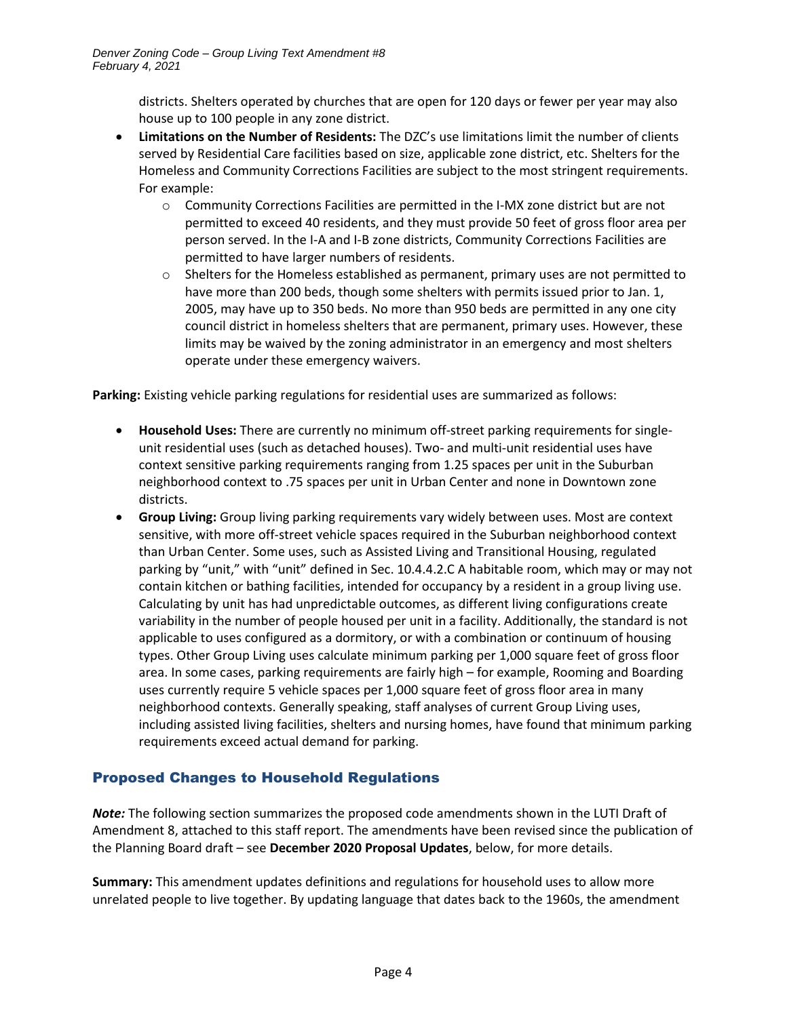districts. Shelters operated by churches that are open for 120 days or fewer per year may also house up to 100 people in any zone district.

- **Limitations on the Number of Residents:** The DZC's use limitations limit the number of clients served by Residential Care facilities based on size, applicable zone district, etc. Shelters for the Homeless and Community Corrections Facilities are subject to the most stringent requirements. For example:
	- o Community Corrections Facilities are permitted in the I-MX zone district but are not permitted to exceed 40 residents, and they must provide 50 feet of gross floor area per person served. In the I-A and I-B zone districts, Community Corrections Facilities are permitted to have larger numbers of residents.
	- $\circ$  Shelters for the Homeless established as permanent, primary uses are not permitted to have more than 200 beds, though some shelters with permits issued prior to Jan. 1, 2005, may have up to 350 beds. No more than 950 beds are permitted in any one city council district in homeless shelters that are permanent, primary uses. However, these limits may be waived by the zoning administrator in an emergency and most shelters operate under these emergency waivers.

**Parking:** Existing vehicle parking regulations for residential uses are summarized as follows:

- **Household Uses:** There are currently no minimum off-street parking requirements for singleunit residential uses (such as detached houses). Two- and multi-unit residential uses have context sensitive parking requirements ranging from 1.25 spaces per unit in the Suburban neighborhood context to .75 spaces per unit in Urban Center and none in Downtown zone districts.
- **Group Living:** Group living parking requirements vary widely between uses. Most are context sensitive, with more off-street vehicle spaces required in the Suburban neighborhood context than Urban Center. Some uses, such as Assisted Living and Transitional Housing, regulated parking by "unit," with "unit" defined in Sec. 10.4.4.2.C A habitable room, which may or may not contain kitchen or bathing facilities, intended for occupancy by a resident in a group living use. Calculating by unit has had unpredictable outcomes, as different living configurations create variability in the number of people housed per unit in a facility. Additionally, the standard is not applicable to uses configured as a dormitory, or with a combination or continuum of housing types. Other Group Living uses calculate minimum parking per 1,000 square feet of gross floor area. In some cases, parking requirements are fairly high – for example, Rooming and Boarding uses currently require 5 vehicle spaces per 1,000 square feet of gross floor area in many neighborhood contexts. Generally speaking, staff analyses of current Group Living uses, including assisted living facilities, shelters and nursing homes, have found that minimum parking requirements exceed actual demand for parking.

# Proposed Changes to Household Regulations

*Note:* The following section summarizes the proposed code amendments shown in the LUTI Draft of Amendment 8, attached to this staff report. The amendments have been revised since the publication of the Planning Board draft – see **December 2020 Proposal Updates**, below, for more details.

**Summary:** This amendment updates definitions and regulations for household uses to allow more unrelated people to live together. By updating language that dates back to the 1960s, the amendment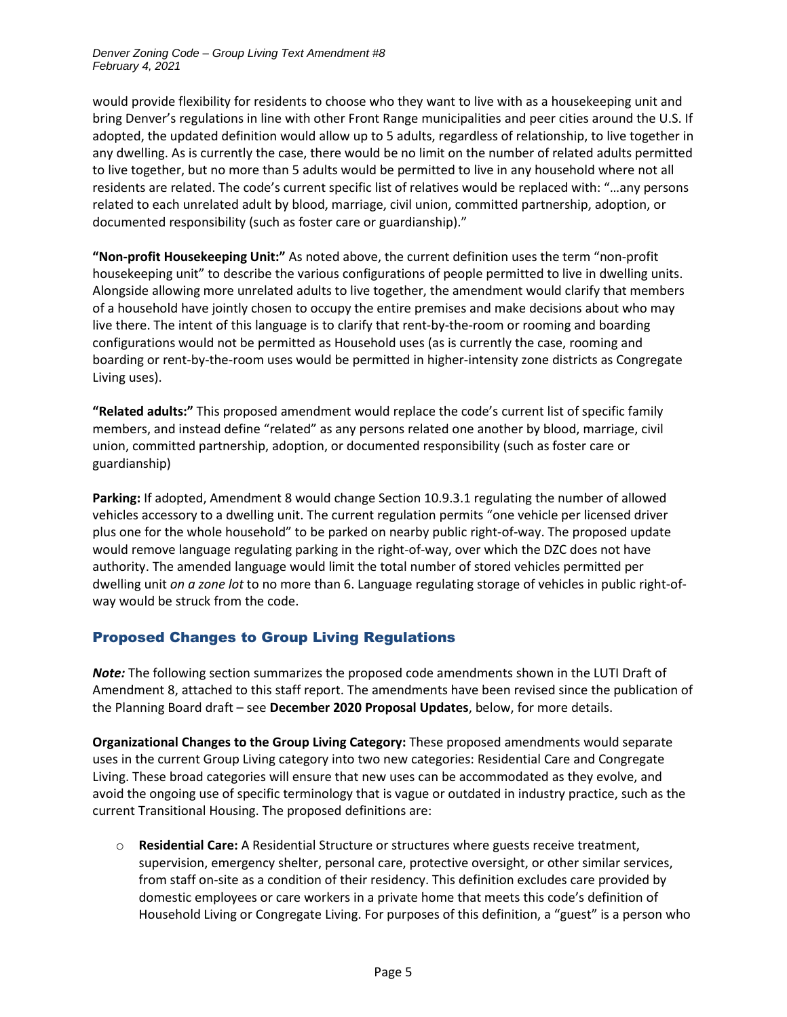would provide flexibility for residents to choose who they want to live with as a housekeeping unit and bring Denver's regulations in line with other Front Range municipalities and peer cities around the U.S. If adopted, the updated definition would allow up to 5 adults, regardless of relationship, to live together in any dwelling. As is currently the case, there would be no limit on the number of related adults permitted to live together, but no more than 5 adults would be permitted to live in any household where not all residents are related. The code's current specific list of relatives would be replaced with: "…any persons related to each unrelated adult by blood, marriage, civil union, committed partnership, adoption, or documented responsibility (such as foster care or guardianship)."

**"Non-profit Housekeeping Unit:"** As noted above, the current definition uses the term "non-profit housekeeping unit" to describe the various configurations of people permitted to live in dwelling units. Alongside allowing more unrelated adults to live together, the amendment would clarify that members of a household have jointly chosen to occupy the entire premises and make decisions about who may live there. The intent of this language is to clarify that rent-by-the-room or rooming and boarding configurations would not be permitted as Household uses (as is currently the case, rooming and boarding or rent-by-the-room uses would be permitted in higher-intensity zone districts as Congregate Living uses).

**"Related adults:"** This proposed amendment would replace the code's current list of specific family members, and instead define "related" as any persons related one another by blood, marriage, civil union, committed partnership, adoption, or documented responsibility (such as foster care or guardianship)

**Parking:** If adopted, Amendment 8 would change Section 10.9.3.1 regulating the number of allowed vehicles accessory to a dwelling unit. The current regulation permits "one vehicle per licensed driver plus one for the whole household" to be parked on nearby public right-of-way. The proposed update would remove language regulating parking in the right-of-way, over which the DZC does not have authority. The amended language would limit the total number of stored vehicles permitted per dwelling unit *on a zone lot* to no more than 6. Language regulating storage of vehicles in public right-ofway would be struck from the code.

# Proposed Changes to Group Living Regulations

*Note:* The following section summarizes the proposed code amendments shown in the LUTI Draft of Amendment 8, attached to this staff report. The amendments have been revised since the publication of the Planning Board draft – see **December 2020 Proposal Updates**, below, for more details.

**Organizational Changes to the Group Living Category:** These proposed amendments would separate uses in the current Group Living category into two new categories: Residential Care and Congregate Living. These broad categories will ensure that new uses can be accommodated as they evolve, and avoid the ongoing use of specific terminology that is vague or outdated in industry practice, such as the current Transitional Housing. The proposed definitions are:

o **Residential Care:** A Residential Structure or structures where guests receive treatment, supervision, emergency shelter, personal care, protective oversight, or other similar services, from staff on-site as a condition of their residency. This definition excludes care provided by domestic employees or care workers in a private home that meets this code's definition of Household Living or Congregate Living. For purposes of this definition, a "guest" is a person who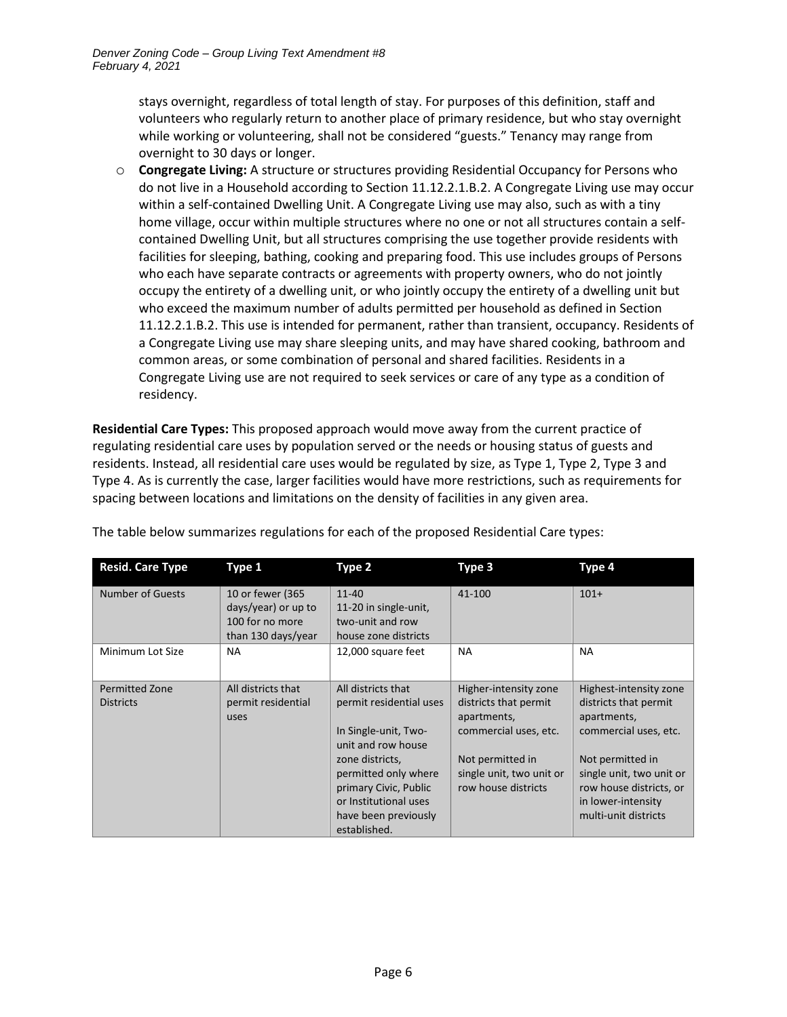stays overnight, regardless of total length of stay. For purposes of this definition, staff and volunteers who regularly return to another place of primary residence, but who stay overnight while working or volunteering, shall not be considered "guests." Tenancy may range from overnight to 30 days or longer.

o **Congregate Living:** A structure or structures providing Residential Occupancy for Persons who do not live in a Household according to Section 11.12.2.1.B.2. A Congregate Living use may occur within a self-contained Dwelling Unit. A Congregate Living use may also, such as with a tiny home village, occur within multiple structures where no one or not all structures contain a selfcontained Dwelling Unit, but all structures comprising the use together provide residents with facilities for sleeping, bathing, cooking and preparing food. This use includes groups of Persons who each have separate contracts or agreements with property owners, who do not jointly occupy the entirety of a dwelling unit, or who jointly occupy the entirety of a dwelling unit but who exceed the maximum number of adults permitted per household as defined in Section 11.12.2.1.B.2. This use is intended for permanent, rather than transient, occupancy. Residents of a Congregate Living use may share sleeping units, and may have shared cooking, bathroom and common areas, or some combination of personal and shared facilities. Residents in a Congregate Living use are not required to seek services or care of any type as a condition of residency.

**Residential Care Types:** This proposed approach would move away from the current practice of regulating residential care uses by population served or the needs or housing status of guests and residents. Instead, all residential care uses would be regulated by size, as Type 1, Type 2, Type 3 and Type 4. As is currently the case, larger facilities would have more restrictions, such as requirements for spacing between locations and limitations on the density of facilities in any given area.

| <b>Resid. Care Type</b> | Type 1                                  | Type 2                                     | Type 3                   | Type 4                   |
|-------------------------|-----------------------------------------|--------------------------------------------|--------------------------|--------------------------|
| <b>Number of Guests</b> | 10 or fewer (365<br>days/year) or up to | $11 - 40$<br>11-20 in single-unit,         | 41-100                   | $101+$                   |
|                         | 100 for no more                         | two-unit and row                           |                          |                          |
|                         | than 130 days/year                      | house zone districts                       |                          |                          |
| Minimum Lot Size        | NA                                      | 12,000 square feet                         | <b>NA</b>                | NA                       |
| <b>Permitted Zone</b>   | All districts that                      | All districts that                         | Higher-intensity zone    | Highest-intensity zone   |
| <b>Districts</b>        | permit residential                      | permit residential uses                    | districts that permit    | districts that permit    |
|                         | uses                                    |                                            | apartments,              | apartments,              |
|                         |                                         | In Single-unit, Two-<br>unit and row house | commercial uses, etc.    | commercial uses, etc.    |
|                         |                                         | zone districts,                            | Not permitted in         | Not permitted in         |
|                         |                                         | permitted only where                       | single unit, two unit or | single unit, two unit or |
|                         |                                         | primary Civic, Public                      | row house districts      | row house districts, or  |
|                         |                                         | or Institutional uses                      |                          | in lower-intensity       |
|                         |                                         | have been previously                       |                          | multi-unit districts     |
|                         |                                         | established.                               |                          |                          |

The table below summarizes regulations for each of the proposed Residential Care types: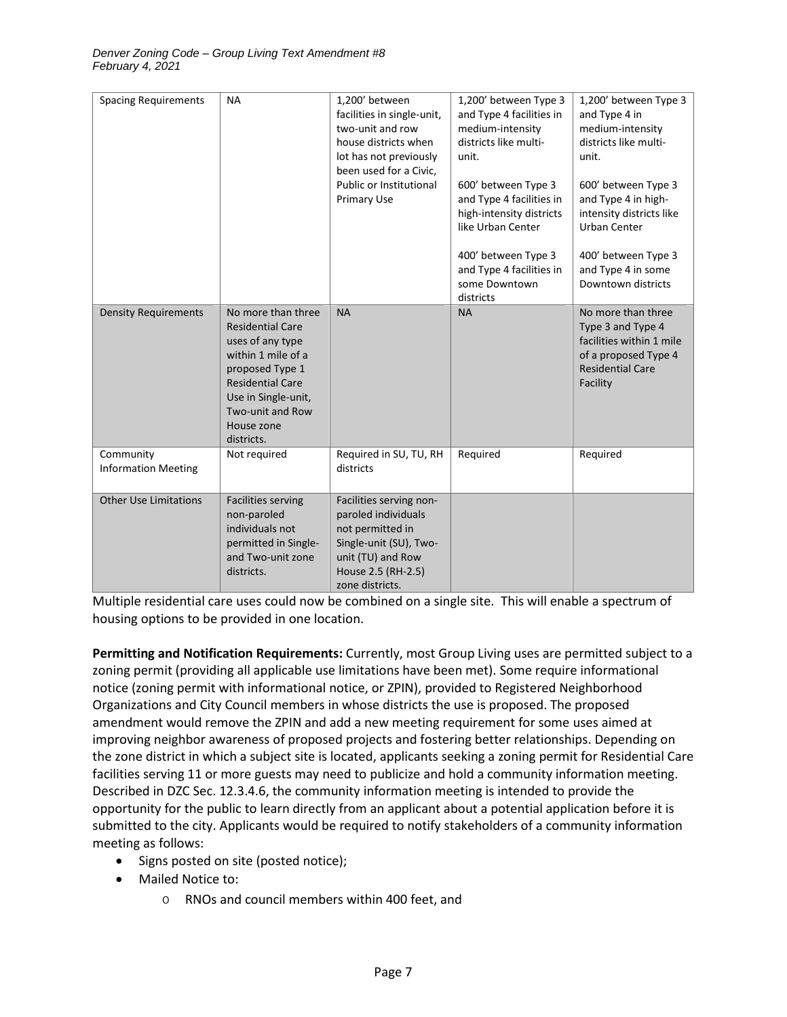| <b>Spacing Requirements</b>             | <b>NA</b>                                                                                                                                                                                                    | 1,200' between<br>facilities in single-unit,<br>two-unit and row<br>house districts when<br>lot has not previously<br>been used for a Civic,<br>Public or Institutional<br>Primary Use | 1,200' between Type 3<br>and Type 4 facilities in<br>medium-intensity<br>districts like multi-<br>unit.<br>600' between Type 3<br>and Type 4 facilities in<br>high-intensity districts<br>like Urban Center<br>400' between Type 3<br>and Type 4 facilities in<br>some Downtown<br>districts | 1,200' between Type 3<br>and Type 4 in<br>medium-intensity<br>districts like multi-<br>unit.<br>600' between Type 3<br>and Type 4 in high-<br>intensity districts like<br><b>Urban Center</b><br>400' between Type 3<br>and Type 4 in some<br>Downtown districts |
|-----------------------------------------|--------------------------------------------------------------------------------------------------------------------------------------------------------------------------------------------------------------|----------------------------------------------------------------------------------------------------------------------------------------------------------------------------------------|----------------------------------------------------------------------------------------------------------------------------------------------------------------------------------------------------------------------------------------------------------------------------------------------|------------------------------------------------------------------------------------------------------------------------------------------------------------------------------------------------------------------------------------------------------------------|
| <b>Density Requirements</b>             | No more than three<br><b>Residential Care</b><br>uses of any type<br>within 1 mile of a<br>proposed Type 1<br><b>Residential Care</b><br>Use in Single-unit,<br>Two-unit and Row<br>House zone<br>districts. | <b>NA</b>                                                                                                                                                                              | <b>NA</b>                                                                                                                                                                                                                                                                                    | No more than three<br>Type 3 and Type 4<br>facilities within 1 mile<br>of a proposed Type 4<br><b>Residential Care</b><br>Facility                                                                                                                               |
| Community<br><b>Information Meeting</b> | Not required                                                                                                                                                                                                 | Required in SU, TU, RH<br>districts                                                                                                                                                    | Required                                                                                                                                                                                                                                                                                     | Required                                                                                                                                                                                                                                                         |
| <b>Other Use Limitations</b>            | <b>Facilities serving</b><br>non-paroled<br>individuals not<br>permitted in Single-<br>and Two-unit zone<br>districts.                                                                                       | Facilities serving non-<br>paroled individuals<br>not permitted in<br>Single-unit (SU), Two-<br>unit (TU) and Row<br>House 2.5 (RH-2.5)<br>zone districts.                             |                                                                                                                                                                                                                                                                                              |                                                                                                                                                                                                                                                                  |

Multiple residential care uses could now be combined on a single site. This will enable a spectrum of housing options to be provided in one location.

**Permitting and Notification Requirements:** Currently, most Group Living uses are permitted subject to a zoning permit (providing all applicable use limitations have been met). Some require informational notice (zoning permit with informational notice, or ZPIN), provided to Registered Neighborhood Organizations and City Council members in whose districts the use is proposed. The proposed amendment would remove the ZPIN and add a new meeting requirement for some uses aimed at improving neighbor awareness of proposed projects and fostering better relationships. Depending on the zone district in which a subject site is located, applicants seeking a zoning permit for Residential Care facilities serving 11 or more guests may need to publicize and hold a community information meeting. Described in DZC Sec. 12.3.4.6, the community information meeting is intended to provide the opportunity for the public to learn directly from an applicant about a potential application before it is submitted to the city. Applicants would be required to notify stakeholders of a community information meeting as follows:

- Signs posted on site (posted notice);
- Mailed Notice to:
	- o RNOs and council members within 400 feet, and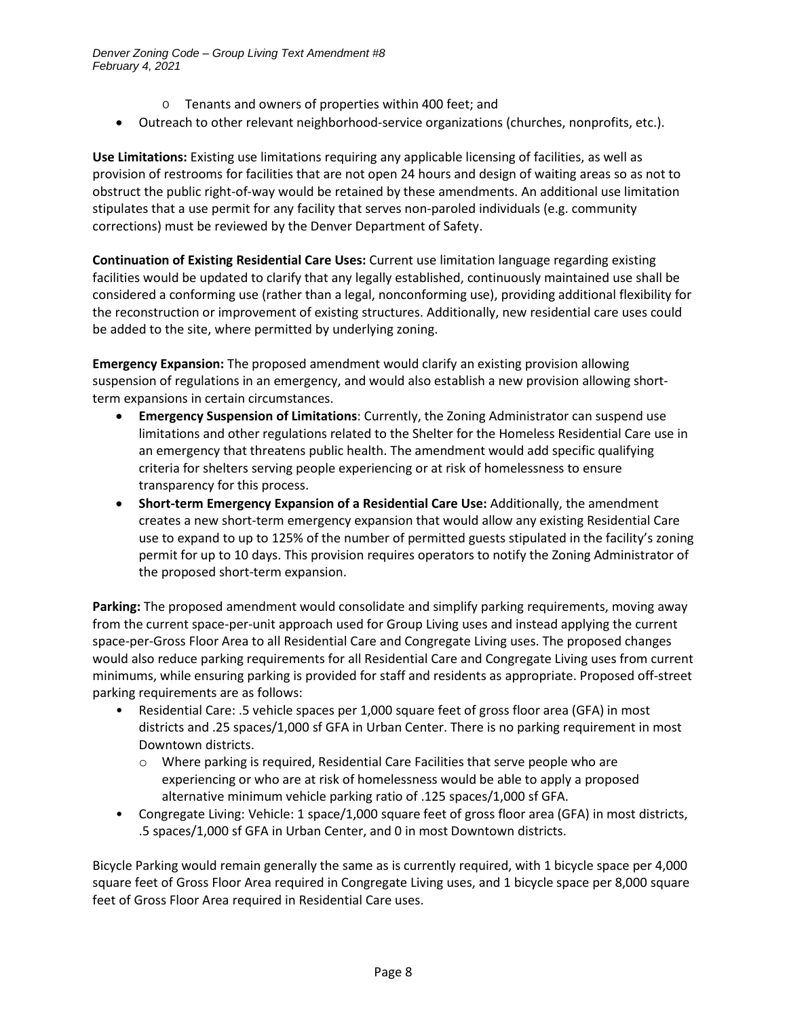- o Tenants and owners of properties within 400 feet; and
- Outreach to other relevant neighborhood-service organizations (churches, nonprofits, etc.).

**Use Limitations:** Existing use limitations requiring any applicable licensing of facilities, as well as provision of restrooms for facilities that are not open 24 hours and design of waiting areas so as not to obstruct the public right-of-way would be retained by these amendments. An additional use limitation stipulates that a use permit for any facility that serves non-paroled individuals (e.g. community corrections) must be reviewed by the Denver Department of Safety.

**Continuation of Existing Residential Care Uses:** Current use limitation language regarding existing facilities would be updated to clarify that any legally established, continuously maintained use shall be considered a conforming use (rather than a legal, nonconforming use), providing additional flexibility for the reconstruction or improvement of existing structures. Additionally, new residential care uses could be added to the site, where permitted by underlying zoning.

**Emergency Expansion:** The proposed amendment would clarify an existing provision allowing suspension of regulations in an emergency, and would also establish a new provision allowing shortterm expansions in certain circumstances.

- **Emergency Suspension of Limitations**: Currently, the Zoning Administrator can suspend use limitations and other regulations related to the Shelter for the Homeless Residential Care use in an emergency that threatens public health. The amendment would add specific qualifying criteria for shelters serving people experiencing or at risk of homelessness to ensure transparency for this process.
- **Short-term Emergency Expansion of a Residential Care Use:** Additionally, the amendment creates a new short-term emergency expansion that would allow any existing Residential Care use to expand to up to 125% of the number of permitted guests stipulated in the facility's zoning permit for up to 10 days. This provision requires operators to notify the Zoning Administrator of the proposed short-term expansion.

**Parking:** The proposed amendment would consolidate and simplify parking requirements, moving away from the current space-per-unit approach used for Group Living uses and instead applying the current space-per-Gross Floor Area to all Residential Care and Congregate Living uses. The proposed changes would also reduce parking requirements for all Residential Care and Congregate Living uses from current minimums, while ensuring parking is provided for staff and residents as appropriate. Proposed off-street parking requirements are as follows:

- Residential Care: .5 vehicle spaces per 1,000 square feet of gross floor area (GFA) in most districts and .25 spaces/1,000 sf GFA in Urban Center. There is no parking requirement in most Downtown districts.
	- o Where parking is required, Residential Care Facilities that serve people who are experiencing or who are at risk of homelessness would be able to apply a proposed alternative minimum vehicle parking ratio of .125 spaces/1,000 sf GFA.
- Congregate Living: Vehicle: 1 space/1,000 square feet of gross floor area (GFA) in most districts, .5 spaces/1,000 sf GFA in Urban Center, and 0 in most Downtown districts.

Bicycle Parking would remain generally the same as is currently required, with 1 bicycle space per 4,000 square feet of Gross Floor Area required in Congregate Living uses, and 1 bicycle space per 8,000 square feet of Gross Floor Area required in Residential Care uses.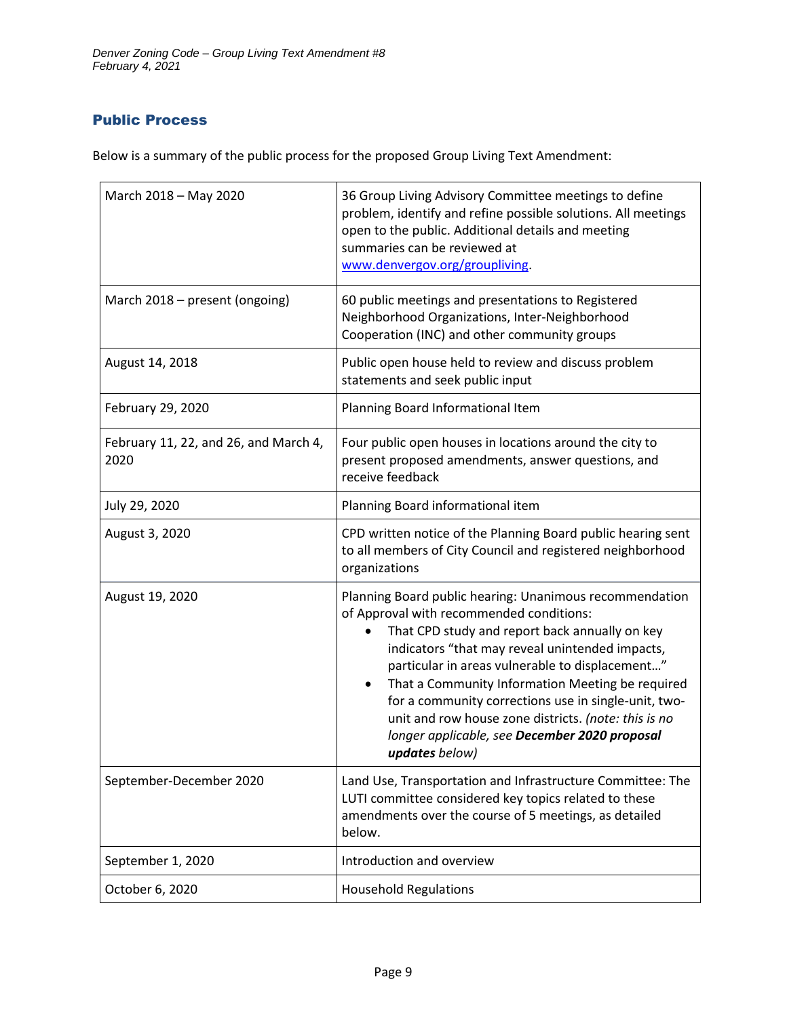# Public Process

Below is a summary of the public process for the proposed Group Living Text Amendment:

| March 2018 - May 2020                         | 36 Group Living Advisory Committee meetings to define<br>problem, identify and refine possible solutions. All meetings<br>open to the public. Additional details and meeting<br>summaries can be reviewed at<br>www.denvergov.org/groupliving.                                                                                                                                                                                                                                                                  |  |  |
|-----------------------------------------------|-----------------------------------------------------------------------------------------------------------------------------------------------------------------------------------------------------------------------------------------------------------------------------------------------------------------------------------------------------------------------------------------------------------------------------------------------------------------------------------------------------------------|--|--|
| March 2018 - present (ongoing)                | 60 public meetings and presentations to Registered<br>Neighborhood Organizations, Inter-Neighborhood<br>Cooperation (INC) and other community groups                                                                                                                                                                                                                                                                                                                                                            |  |  |
| August 14, 2018                               | Public open house held to review and discuss problem<br>statements and seek public input                                                                                                                                                                                                                                                                                                                                                                                                                        |  |  |
| February 29, 2020                             | Planning Board Informational Item                                                                                                                                                                                                                                                                                                                                                                                                                                                                               |  |  |
| February 11, 22, and 26, and March 4,<br>2020 | Four public open houses in locations around the city to<br>present proposed amendments, answer questions, and<br>receive feedback                                                                                                                                                                                                                                                                                                                                                                               |  |  |
| July 29, 2020                                 | Planning Board informational item                                                                                                                                                                                                                                                                                                                                                                                                                                                                               |  |  |
| August 3, 2020                                | CPD written notice of the Planning Board public hearing sent<br>to all members of City Council and registered neighborhood<br>organizations                                                                                                                                                                                                                                                                                                                                                                     |  |  |
| August 19, 2020                               | Planning Board public hearing: Unanimous recommendation<br>of Approval with recommended conditions:<br>That CPD study and report back annually on key<br>indicators "that may reveal unintended impacts,<br>particular in areas vulnerable to displacement"<br>That a Community Information Meeting be required<br>$\bullet$<br>for a community corrections use in single-unit, two-<br>unit and row house zone districts. (note: this is no<br>longer applicable, see December 2020 proposal<br>updates below) |  |  |
| September-December 2020                       | Land Use, Transportation and Infrastructure Committee: The<br>LUTI committee considered key topics related to these<br>amendments over the course of 5 meetings, as detailed<br>below.                                                                                                                                                                                                                                                                                                                          |  |  |
| September 1, 2020                             | Introduction and overview                                                                                                                                                                                                                                                                                                                                                                                                                                                                                       |  |  |
| October 6, 2020                               | <b>Household Regulations</b>                                                                                                                                                                                                                                                                                                                                                                                                                                                                                    |  |  |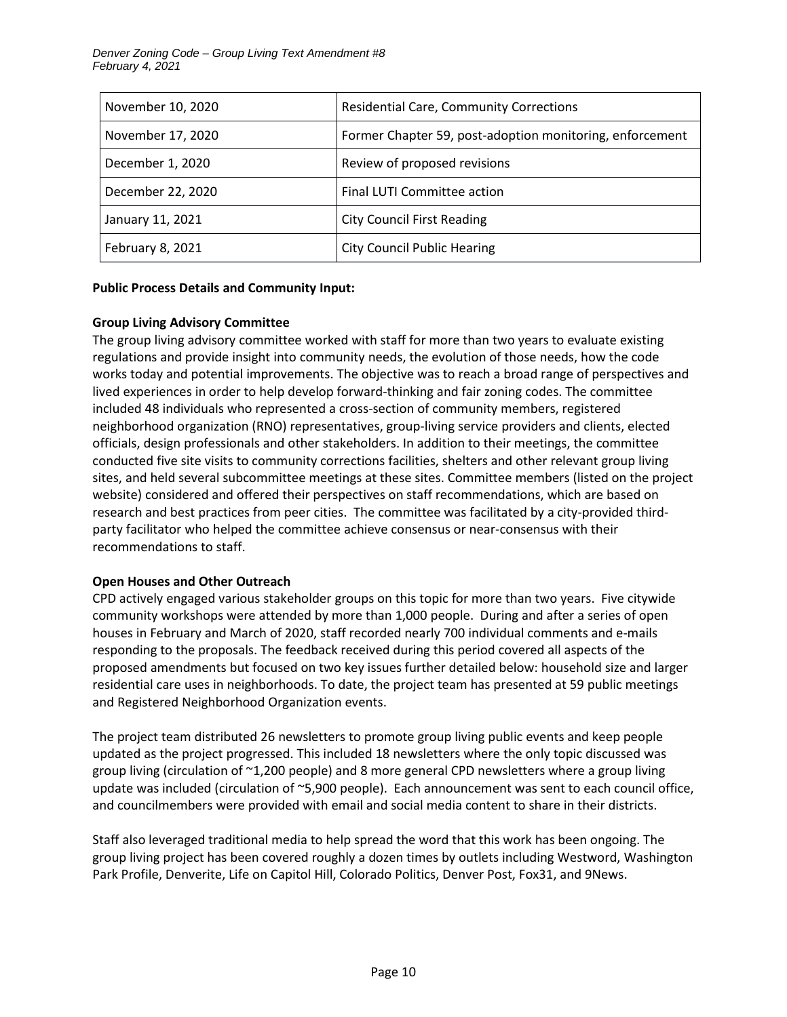| November 10, 2020 | <b>Residential Care, Community Corrections</b>           |  |
|-------------------|----------------------------------------------------------|--|
| November 17, 2020 | Former Chapter 59, post-adoption monitoring, enforcement |  |
| December 1, 2020  | Review of proposed revisions                             |  |
| December 22, 2020 | Final LUTI Committee action                              |  |
| January 11, 2021  | <b>City Council First Reading</b>                        |  |
| February 8, 2021  | <b>City Council Public Hearing</b>                       |  |

#### **Public Process Details and Community Input:**

### **Group Living Advisory Committee**

The group living advisory committee worked with staff for more than two years to evaluate existing regulations and provide insight into community needs, the evolution of those needs, how the code works today and potential improvements. The objective was to reach a broad range of perspectives and lived experiences in order to help develop forward-thinking and fair zoning codes. The committee included 48 individuals who represented a cross-section of community members, registered neighborhood organization (RNO) representatives, group-living service providers and clients, elected officials, design professionals and other stakeholders. In addition to their meetings, the committee conducted five site visits to community corrections facilities, shelters and other relevant group living sites, and held several subcommittee meetings at these sites. Committee members (listed on the project website) considered and offered their perspectives on staff recommendations, which are based on research and best practices from peer cities. The committee was facilitated by a city-provided thirdparty facilitator who helped the committee achieve consensus or near-consensus with their recommendations to staff.

# **Open Houses and Other Outreach**

CPD actively engaged various stakeholder groups on this topic for more than two years. Five citywide community workshops were attended by more than 1,000 people. During and after a series of open houses in February and March of 2020, staff recorded nearly 700 individual comments and e-mails responding to the proposals. The feedback received during this period covered all aspects of the proposed amendments but focused on two key issues further detailed below: household size and larger residential care uses in neighborhoods. To date, the project team has presented at 59 public meetings and Registered Neighborhood Organization events.

The project team distributed 26 newsletters to promote group living public events and keep people updated as the project progressed. This included 18 newsletters where the only topic discussed was group living (circulation of ~1,200 people) and 8 more general CPD newsletters where a group living update was included (circulation of ~5,900 people). Each announcement was sent to each council office, and councilmembers were provided with email and social media content to share in their districts.

Staff also leveraged traditional media to help spread the word that this work has been ongoing. The group living project has been covered roughly a dozen times by outlets including Westword, Washington Park Profile, Denverite, Life on Capitol Hill, Colorado Politics, Denver Post, Fox31, and 9News.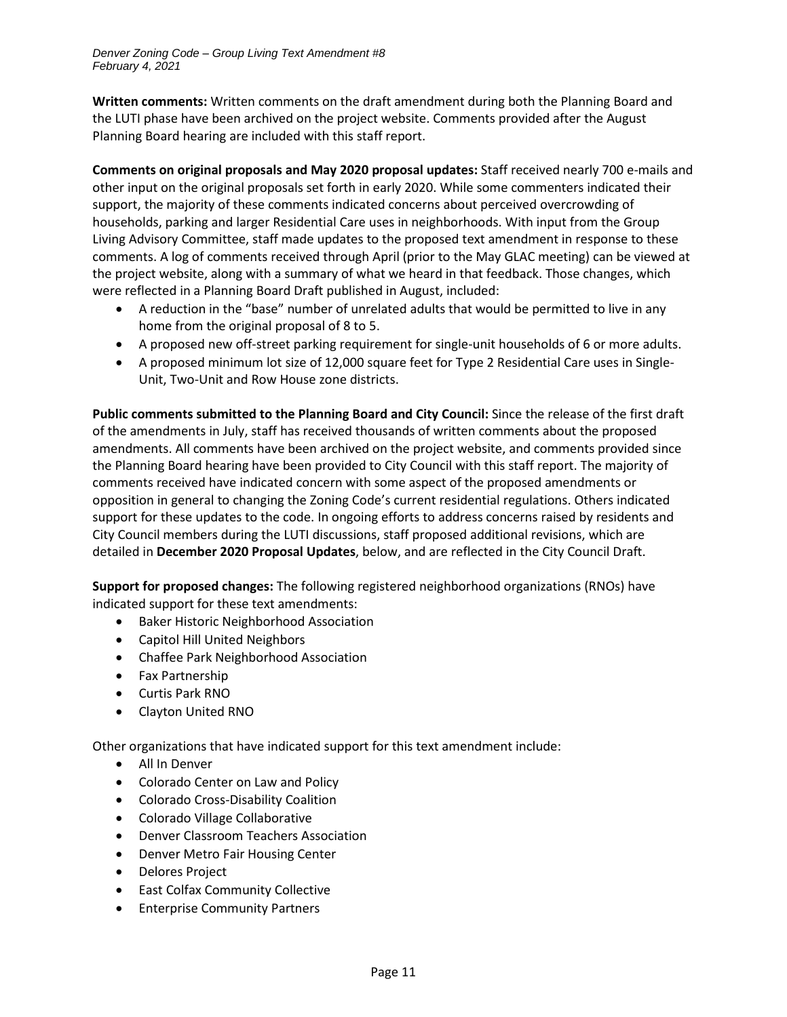**Written comments:** Written comments on the draft amendment during both the Planning Board and the LUTI phase have been archived on the project website. Comments provided after the August Planning Board hearing are included with this staff report.

**Comments on original proposals and May 2020 proposal updates:** Staff received nearly 700 e-mails and other input on the original proposals set forth in early 2020. While some commenters indicated their support, the majority of these comments indicated concerns about perceived overcrowding of households, parking and larger Residential Care uses in neighborhoods. With input from the Group Living Advisory Committee, staff made updates to the proposed text amendment in response to these comments. A log of comments received through April (prior to the May GLAC meeting) can be viewed at the project website, along with a summary of what we heard in that feedback. Those changes, which were reflected in a Planning Board Draft published in August, included:

- A reduction in the "base" number of unrelated adults that would be permitted to live in any home from the original proposal of 8 to 5.
- A proposed new off-street parking requirement for single-unit households of 6 or more adults.
- A proposed minimum lot size of 12,000 square feet for Type 2 Residential Care uses in Single-Unit, Two-Unit and Row House zone districts.

**Public comments submitted to the Planning Board and City Council:** Since the release of the first draft of the amendments in July, staff has received thousands of written comments about the proposed amendments. All comments have been archived on the project website, and comments provided since the Planning Board hearing have been provided to City Council with this staff report. The majority of comments received have indicated concern with some aspect of the proposed amendments or opposition in general to changing the Zoning Code's current residential regulations. Others indicated support for these updates to the code. In ongoing efforts to address concerns raised by residents and City Council members during the LUTI discussions, staff proposed additional revisions, which are detailed in **December 2020 Proposal Updates**, below, and are reflected in the City Council Draft.

**Support for proposed changes:** The following registered neighborhood organizations (RNOs) have indicated support for these text amendments:

- Baker Historic Neighborhood Association
- Capitol Hill United Neighbors
- Chaffee Park Neighborhood Association
- Fax Partnership
- Curtis Park RNO
- Clayton United RNO

Other organizations that have indicated support for this text amendment include:

- All In Denver
- Colorado Center on Law and Policy
- Colorado Cross-Disability Coalition
- Colorado Village Collaborative
- Denver Classroom Teachers Association
- Denver Metro Fair Housing Center
- Delores Project
- East Colfax Community Collective
- Enterprise Community Partners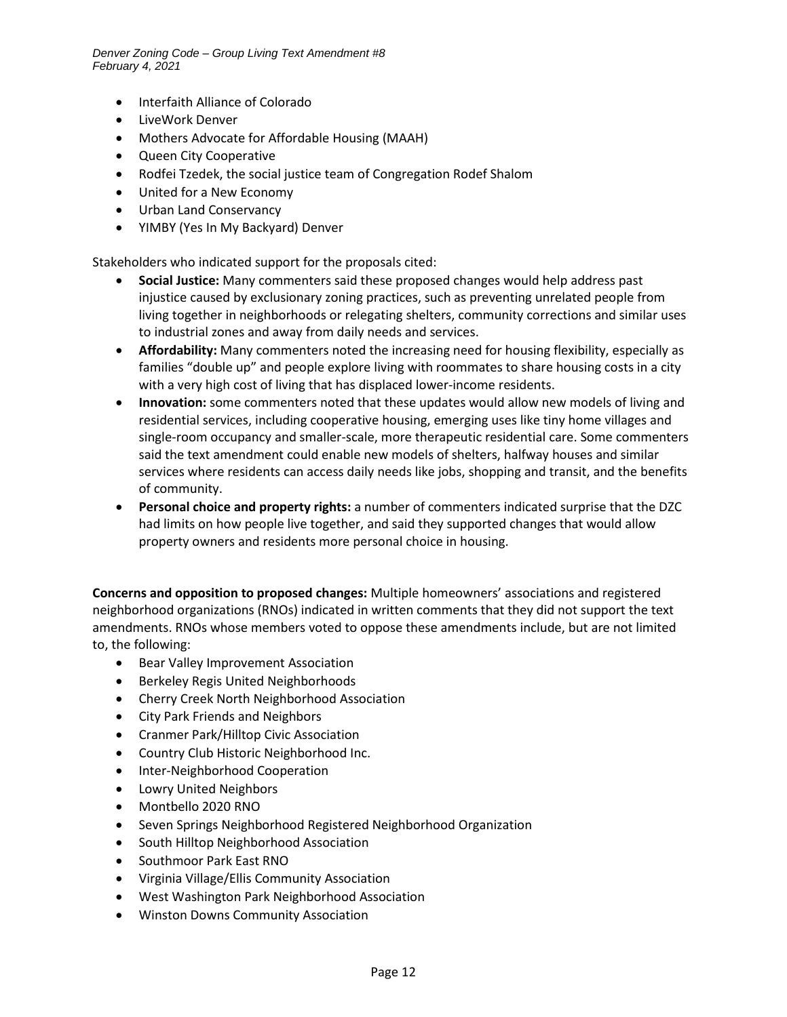- Interfaith Alliance of Colorado
- LiveWork Denver
- Mothers Advocate for Affordable Housing (MAAH)
- Queen City Cooperative
- Rodfei Tzedek, the social justice team of Congregation Rodef Shalom
- United for a New Economy
- Urban Land Conservancy
- YIMBY (Yes In My Backyard) Denver

Stakeholders who indicated support for the proposals cited:

- **Social Justice:** Many commenters said these proposed changes would help address past injustice caused by exclusionary zoning practices, such as preventing unrelated people from living together in neighborhoods or relegating shelters, community corrections and similar uses to industrial zones and away from daily needs and services.
- **Affordability:** Many commenters noted the increasing need for housing flexibility, especially as families "double up" and people explore living with roommates to share housing costs in a city with a very high cost of living that has displaced lower-income residents.
- **Innovation:** some commenters noted that these updates would allow new models of living and residential services, including cooperative housing, emerging uses like tiny home villages and single-room occupancy and smaller-scale, more therapeutic residential care. Some commenters said the text amendment could enable new models of shelters, halfway houses and similar services where residents can access daily needs like jobs, shopping and transit, and the benefits of community.
- **Personal choice and property rights:** a number of commenters indicated surprise that the DZC had limits on how people live together, and said they supported changes that would allow property owners and residents more personal choice in housing.

**Concerns and opposition to proposed changes:** Multiple homeowners' associations and registered neighborhood organizations (RNOs) indicated in written comments that they did not support the text amendments. RNOs whose members voted to oppose these amendments include, but are not limited to, the following:

- Bear Valley Improvement Association
- Berkeley Regis United Neighborhoods
- Cherry Creek North Neighborhood Association
- City Park Friends and Neighbors
- Cranmer Park/Hilltop Civic Association
- Country Club Historic Neighborhood Inc.
- Inter-Neighborhood Cooperation
- Lowry United Neighbors
- Montbello 2020 RNO
- Seven Springs Neighborhood Registered Neighborhood Organization
- South Hilltop Neighborhood Association
- Southmoor Park East RNO
- Virginia Village/Ellis Community Association
- West Washington Park Neighborhood Association
- Winston Downs Community Association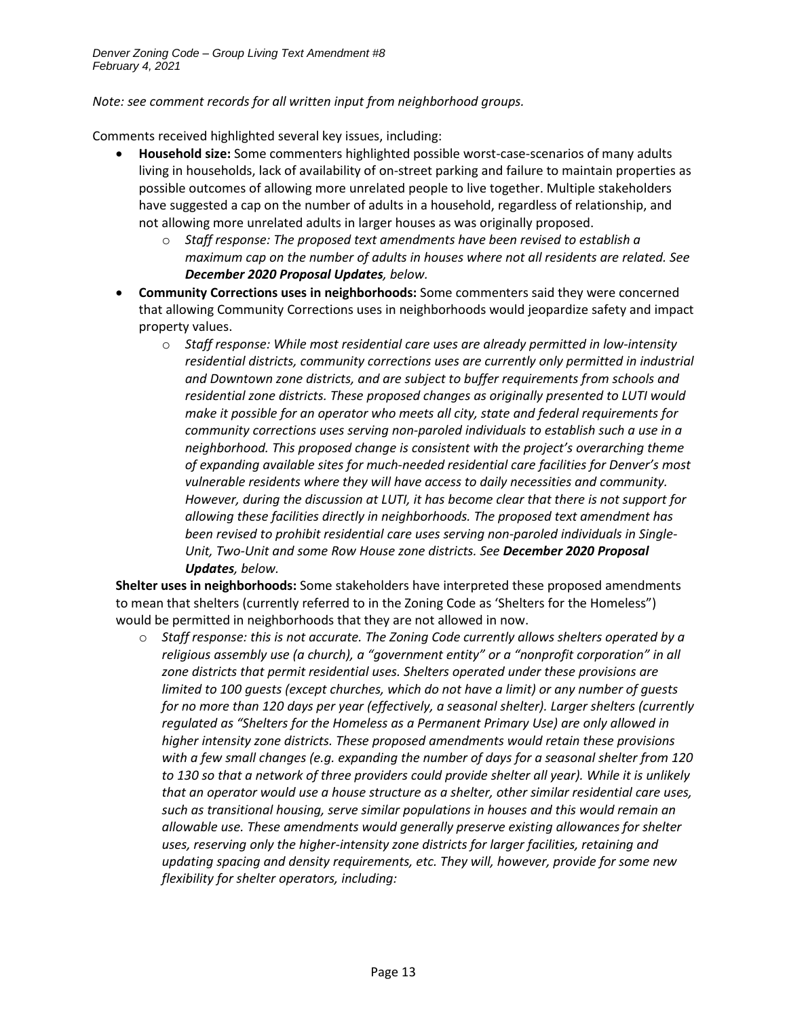*Note: see comment records for all written input from neighborhood groups.*

Comments received highlighted several key issues, including:

- **Household size:** Some commenters highlighted possible worst-case-scenarios of many adults living in households, lack of availability of on-street parking and failure to maintain properties as possible outcomes of allowing more unrelated people to live together. Multiple stakeholders have suggested a cap on the number of adults in a household, regardless of relationship, and not allowing more unrelated adults in larger houses as was originally proposed.
	- o *Staff response: The proposed text amendments have been revised to establish a maximum cap on the number of adults in houses where not all residents are related. See December 2020 Proposal Updates, below.*
- **Community Corrections uses in neighborhoods:** Some commenters said they were concerned that allowing Community Corrections uses in neighborhoods would jeopardize safety and impact property values.
	- o *Staff response: While most residential care uses are already permitted in low-intensity residential districts, community corrections uses are currently only permitted in industrial and Downtown zone districts, and are subject to buffer requirements from schools and residential zone districts. These proposed changes as originally presented to LUTI would make it possible for an operator who meets all city, state and federal requirements for community corrections uses serving non-paroled individuals to establish such a use in a neighborhood. This proposed change is consistent with the project's overarching theme of expanding available sites for much-needed residential care facilities for Denver's most vulnerable residents where they will have access to daily necessities and community. However, during the discussion at LUTI, it has become clear that there is not support for allowing these facilities directly in neighborhoods. The proposed text amendment has been revised to prohibit residential care uses serving non-paroled individuals in Single-Unit, Two-Unit and some Row House zone districts. See December 2020 Proposal Updates, below.*

**Shelter uses in neighborhoods:** Some stakeholders have interpreted these proposed amendments to mean that shelters (currently referred to in the Zoning Code as 'Shelters for the Homeless") would be permitted in neighborhoods that they are not allowed in now.

o *Staff response: this is not accurate. The Zoning Code currently allows shelters operated by a religious assembly use (a church), a "government entity" or a "nonprofit corporation" in all zone districts that permit residential uses. Shelters operated under these provisions are limited to 100 guests (except churches, which do not have a limit) or any number of guests for no more than 120 days per year (effectively, a seasonal shelter). Larger shelters (currently regulated as "Shelters for the Homeless as a Permanent Primary Use) are only allowed in higher intensity zone districts. These proposed amendments would retain these provisions with a few small changes (e.g. expanding the number of days for a seasonal shelter from 120 to 130 so that a network of three providers could provide shelter all year). While it is unlikely that an operator would use a house structure as a shelter, other similar residential care uses, such as transitional housing, serve similar populations in houses and this would remain an allowable use. These amendments would generally preserve existing allowances for shelter uses, reserving only the higher-intensity zone districts for larger facilities, retaining and updating spacing and density requirements, etc. They will, however, provide for some new flexibility for shelter operators, including:*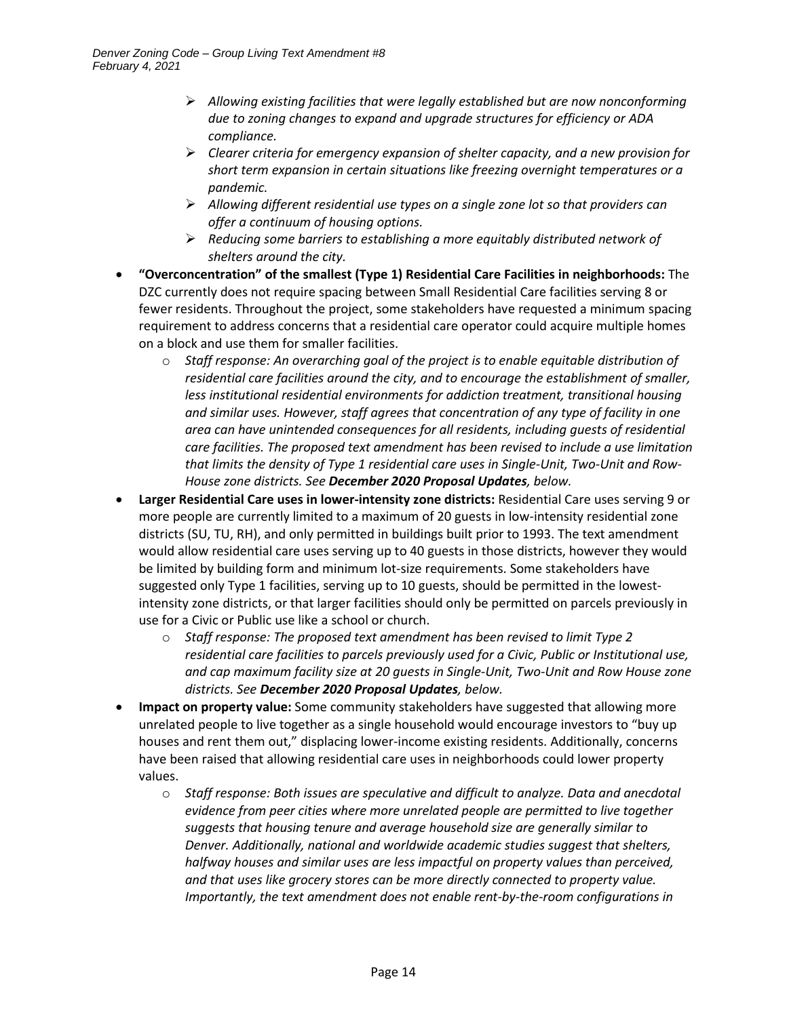- ➢ *Allowing existing facilities that were legally established but are now nonconforming due to zoning changes to expand and upgrade structures for efficiency or ADA compliance.*
- ➢ *Clearer criteria for emergency expansion of shelter capacity, and a new provision for short term expansion in certain situations like freezing overnight temperatures or a pandemic.*
- ➢ *Allowing different residential use types on a single zone lot so that providers can offer a continuum of housing options.*
- ➢ *Reducing some barriers to establishing a more equitably distributed network of shelters around the city.*
- **"Overconcentration" of the smallest (Type 1) Residential Care Facilities in neighborhoods:** The DZC currently does not require spacing between Small Residential Care facilities serving 8 or fewer residents. Throughout the project, some stakeholders have requested a minimum spacing requirement to address concerns that a residential care operator could acquire multiple homes on a block and use them for smaller facilities.
	- o *Staff response: An overarching goal of the project is to enable equitable distribution of residential care facilities around the city, and to encourage the establishment of smaller, less institutional residential environments for addiction treatment, transitional housing and similar uses. However, staff agrees that concentration of any type of facility in one area can have unintended consequences for all residents, including guests of residential care facilities. The proposed text amendment has been revised to include a use limitation that limits the density of Type 1 residential care uses in Single-Unit, Two-Unit and Row-House zone districts. See December 2020 Proposal Updates, below.*
- **Larger Residential Care uses in lower-intensity zone districts:** Residential Care uses serving 9 or more people are currently limited to a maximum of 20 guests in low-intensity residential zone districts (SU, TU, RH), and only permitted in buildings built prior to 1993. The text amendment would allow residential care uses serving up to 40 guests in those districts, however they would be limited by building form and minimum lot-size requirements. Some stakeholders have suggested only Type 1 facilities, serving up to 10 guests, should be permitted in the lowestintensity zone districts, or that larger facilities should only be permitted on parcels previously in use for a Civic or Public use like a school or church.
	- o *Staff response: The proposed text amendment has been revised to limit Type 2 residential care facilities to parcels previously used for a Civic, Public or Institutional use, and cap maximum facility size at 20 guests in Single-Unit, Two-Unit and Row House zone districts. See December 2020 Proposal Updates, below.*
- **Impact on property value:** Some community stakeholders have suggested that allowing more unrelated people to live together as a single household would encourage investors to "buy up houses and rent them out," displacing lower-income existing residents. Additionally, concerns have been raised that allowing residential care uses in neighborhoods could lower property values.
	- o *Staff response: Both issues are speculative and difficult to analyze. Data and anecdotal evidence from peer cities where more unrelated people are permitted to live together suggests that housing tenure and average household size are generally similar to Denver. Additionally, national and worldwide academic studies suggest that shelters, halfway houses and similar uses are less impactful on property values than perceived, and that uses like grocery stores can be more directly connected to property value. Importantly, the text amendment does not enable rent-by-the-room configurations in*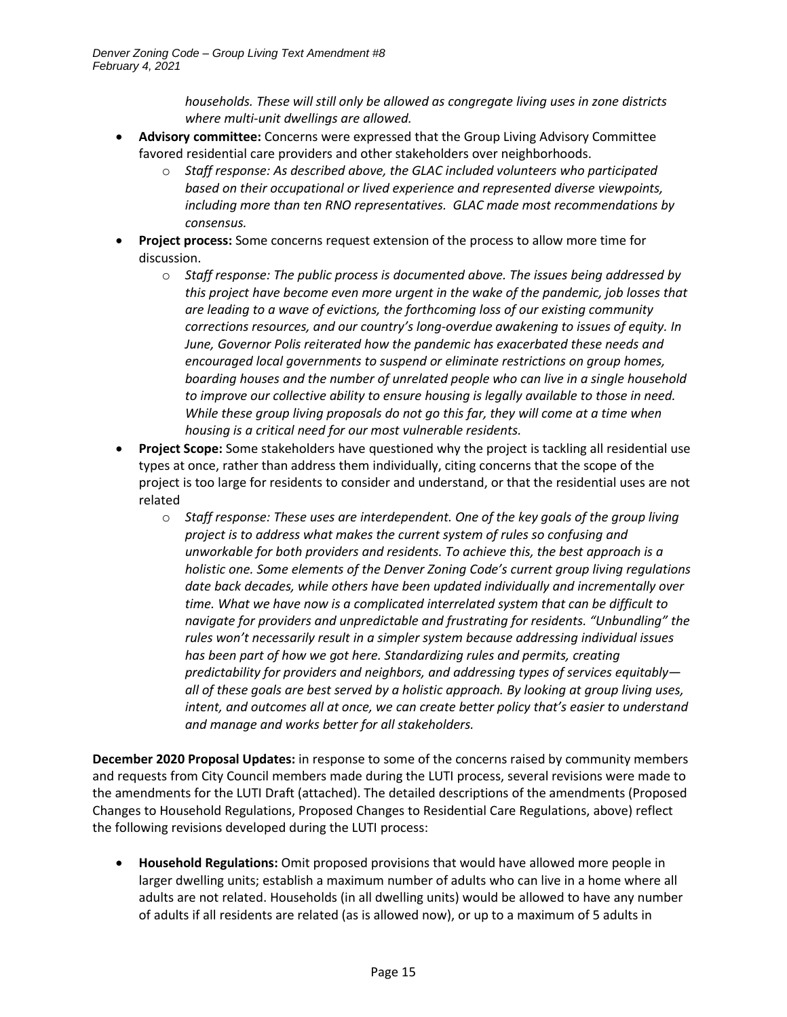*households. These will still only be allowed as congregate living uses in zone districts where multi-unit dwellings are allowed.*

- **Advisory committee:** Concerns were expressed that the Group Living Advisory Committee favored residential care providers and other stakeholders over neighborhoods.
	- o *Staff response: As described above, the GLAC included volunteers who participated based on their occupational or lived experience and represented diverse viewpoints, including more than ten RNO representatives. GLAC made most recommendations by consensus.*
- **Project process:** Some concerns request extension of the process to allow more time for discussion.
	- o *Staff response: The public process is documented above. The issues being addressed by this project have become even more urgent in the wake of the pandemic, job losses that are leading to a wave of evictions, the forthcoming loss of our existing community corrections resources, and our country's long-overdue awakening to issues of equity. In June, Governor Polis reiterated how the pandemic has exacerbated these needs and encouraged local governments to suspend or eliminate restrictions on group homes, boarding houses and the number of unrelated people who can live in a single household to improve our collective ability to ensure housing is legally available to those in need. While these group living proposals do not go this far, they will come at a time when housing is a critical need for our most vulnerable residents.*
- **Project Scope:** Some stakeholders have questioned why the project is tackling all residential use types at once, rather than address them individually, citing concerns that the scope of the project is too large for residents to consider and understand, or that the residential uses are not related
	- o *Staff response: These uses are interdependent. One of the key goals of the group living project is to address what makes the current system of rules so confusing and unworkable for both providers and residents. To achieve this, the best approach is a holistic one. Some elements of the Denver Zoning Code's current group living regulations date back decades, while others have been updated individually and incrementally over time. What we have now is a complicated interrelated system that can be difficult to navigate for providers and unpredictable and frustrating for residents. "Unbundling" the rules won't necessarily result in a simpler system because addressing individual issues has been part of how we got here. Standardizing rules and permits, creating predictability for providers and neighbors, and addressing types of services equitably all of these goals are best served by a holistic approach. By looking at group living uses, intent, and outcomes all at once, we can create better policy that's easier to understand and manage and works better for all stakeholders.*

**December 2020 Proposal Updates:** in response to some of the concerns raised by community members and requests from City Council members made during the LUTI process, several revisions were made to the amendments for the LUTI Draft (attached). The detailed descriptions of the amendments (Proposed Changes to Household Regulations, Proposed Changes to Residential Care Regulations, above) reflect the following revisions developed during the LUTI process:

• **Household Regulations:** Omit proposed provisions that would have allowed more people in larger dwelling units; establish a maximum number of adults who can live in a home where all adults are not related. Households (in all dwelling units) would be allowed to have any number of adults if all residents are related (as is allowed now), or up to a maximum of 5 adults in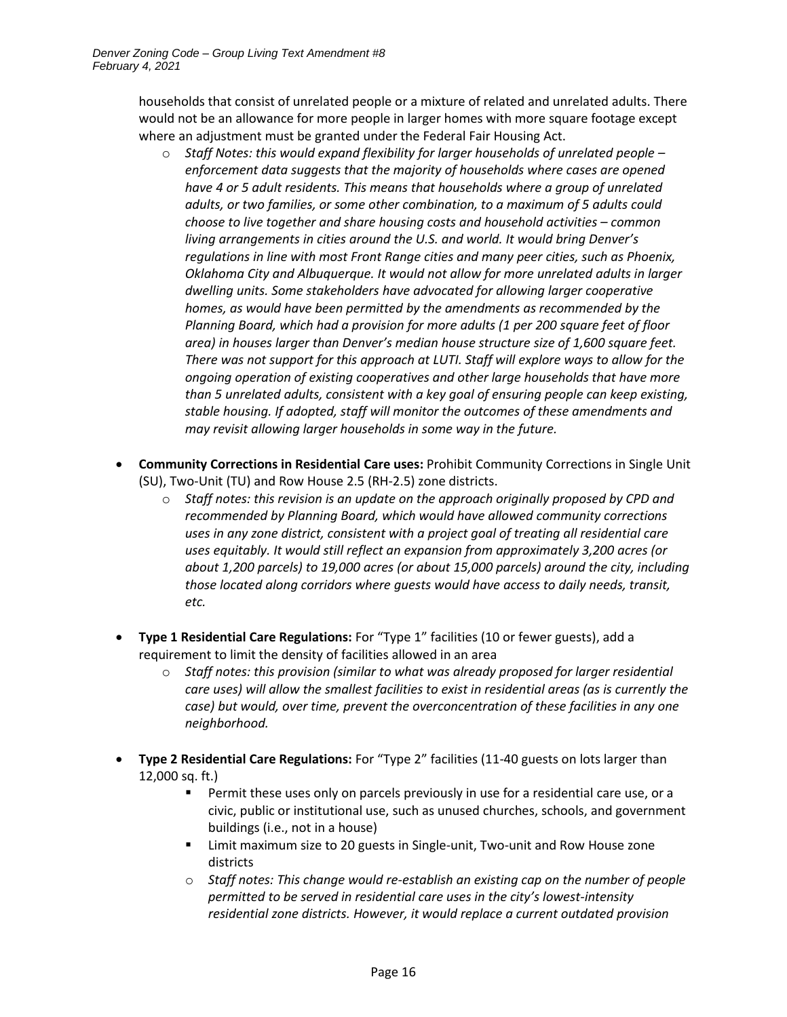households that consist of unrelated people or a mixture of related and unrelated adults. There would not be an allowance for more people in larger homes with more square footage except where an adjustment must be granted under the Federal Fair Housing Act.

- o *Staff Notes: this would expand flexibility for larger households of unrelated people – enforcement data suggests that the majority of households where cases are opened have 4 or 5 adult residents. This means that households where a group of unrelated adults, or two families, or some other combination, to a maximum of 5 adults could choose to live together and share housing costs and household activities – common living arrangements in cities around the U.S. and world. It would bring Denver's regulations in line with most Front Range cities and many peer cities, such as Phoenix, Oklahoma City and Albuquerque. It would not allow for more unrelated adults in larger dwelling units. Some stakeholders have advocated for allowing larger cooperative homes, as would have been permitted by the amendments as recommended by the Planning Board, which had a provision for more adults (1 per 200 square feet of floor area) in houses larger than Denver's median house structure size of 1,600 square feet. There was not support for this approach at LUTI. Staff will explore ways to allow for the ongoing operation of existing cooperatives and other large households that have more than 5 unrelated adults, consistent with a key goal of ensuring people can keep existing, stable housing. If adopted, staff will monitor the outcomes of these amendments and may revisit allowing larger households in some way in the future.*
- **Community Corrections in Residential Care uses:** Prohibit Community Corrections in Single Unit (SU), Two-Unit (TU) and Row House 2.5 (RH-2.5) zone districts.
	- o *Staff notes: this revision is an update on the approach originally proposed by CPD and recommended by Planning Board, which would have allowed community corrections uses in any zone district, consistent with a project goal of treating all residential care uses equitably. It would still reflect an expansion from approximately 3,200 acres (or about 1,200 parcels) to 19,000 acres (or about 15,000 parcels) around the city, including those located along corridors where guests would have access to daily needs, transit, etc.*
- **Type 1 Residential Care Regulations:** For "Type 1" facilities (10 or fewer guests), add a requirement to limit the density of facilities allowed in an area
	- o *Staff notes: this provision (similar to what was already proposed for larger residential care uses) will allow the smallest facilities to exist in residential areas (as is currently the case) but would, over time, prevent the overconcentration of these facilities in any one neighborhood.*
- **Type 2 Residential Care Regulations:** For "Type 2" facilities (11-40 guests on lots larger than 12,000 sq. ft.)
	- Permit these uses only on parcels previously in use for a residential care use, or a civic, public or institutional use, such as unused churches, schools, and government buildings (i.e., not in a house)
	- Limit maximum size to 20 guests in Single-unit, Two-unit and Row House zone districts
	- o *Staff notes: This change would re-establish an existing cap on the number of people permitted to be served in residential care uses in the city's lowest-intensity residential zone districts. However, it would replace a current outdated provision*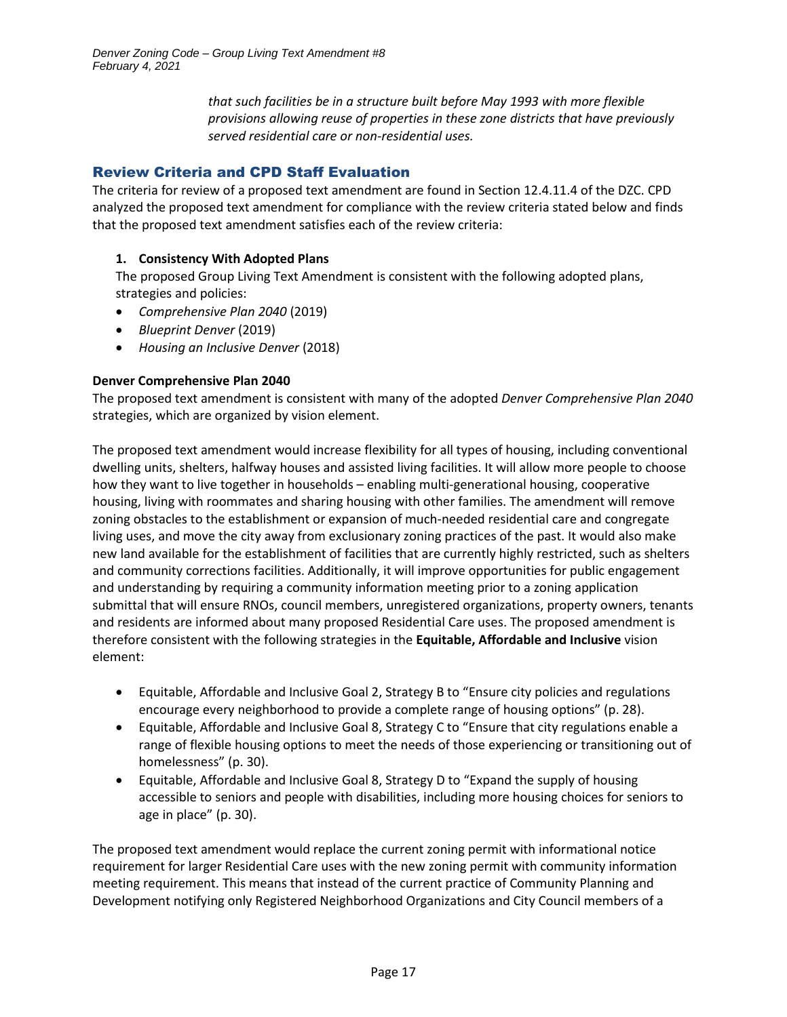*that such facilities be in a structure built before May 1993 with more flexible provisions allowing reuse of properties in these zone districts that have previously served residential care or non-residential uses.*

# Review Criteria and CPD Staff Evaluation

The criteria for review of a proposed text amendment are found in Section 12.4.11.4 of the DZC. CPD analyzed the proposed text amendment for compliance with the review criteria stated below and finds that the proposed text amendment satisfies each of the review criteria:

# **1. Consistency With Adopted Plans**

The proposed Group Living Text Amendment is consistent with the following adopted plans, strategies and policies:

- *Comprehensive Plan 2040* (2019)
- *Blueprint Denver* (2019)
- *Housing an Inclusive Denver* (2018)

### **Denver Comprehensive Plan 2040**

The proposed text amendment is consistent with many of the adopted *Denver Comprehensive Plan 2040* strategies, which are organized by vision element.

The proposed text amendment would increase flexibility for all types of housing, including conventional dwelling units, shelters, halfway houses and assisted living facilities. It will allow more people to choose how they want to live together in households – enabling multi-generational housing, cooperative housing, living with roommates and sharing housing with other families. The amendment will remove zoning obstacles to the establishment or expansion of much-needed residential care and congregate living uses, and move the city away from exclusionary zoning practices of the past. It would also make new land available for the establishment of facilities that are currently highly restricted, such as shelters and community corrections facilities. Additionally, it will improve opportunities for public engagement and understanding by requiring a community information meeting prior to a zoning application submittal that will ensure RNOs, council members, unregistered organizations, property owners, tenants and residents are informed about many proposed Residential Care uses. The proposed amendment is therefore consistent with the following strategies in the **Equitable, Affordable and Inclusive** vision element:

- Equitable, Affordable and Inclusive Goal 2, Strategy B to "Ensure city policies and regulations encourage every neighborhood to provide a complete range of housing options" (p. 28).
- Equitable, Affordable and Inclusive Goal 8, Strategy C to "Ensure that city regulations enable a range of flexible housing options to meet the needs of those experiencing or transitioning out of homelessness" (p. 30).
- Equitable, Affordable and Inclusive Goal 8, Strategy D to "Expand the supply of housing accessible to seniors and people with disabilities, including more housing choices for seniors to age in place" (p. 30).

The proposed text amendment would replace the current zoning permit with informational notice requirement for larger Residential Care uses with the new zoning permit with community information meeting requirement. This means that instead of the current practice of Community Planning and Development notifying only Registered Neighborhood Organizations and City Council members of a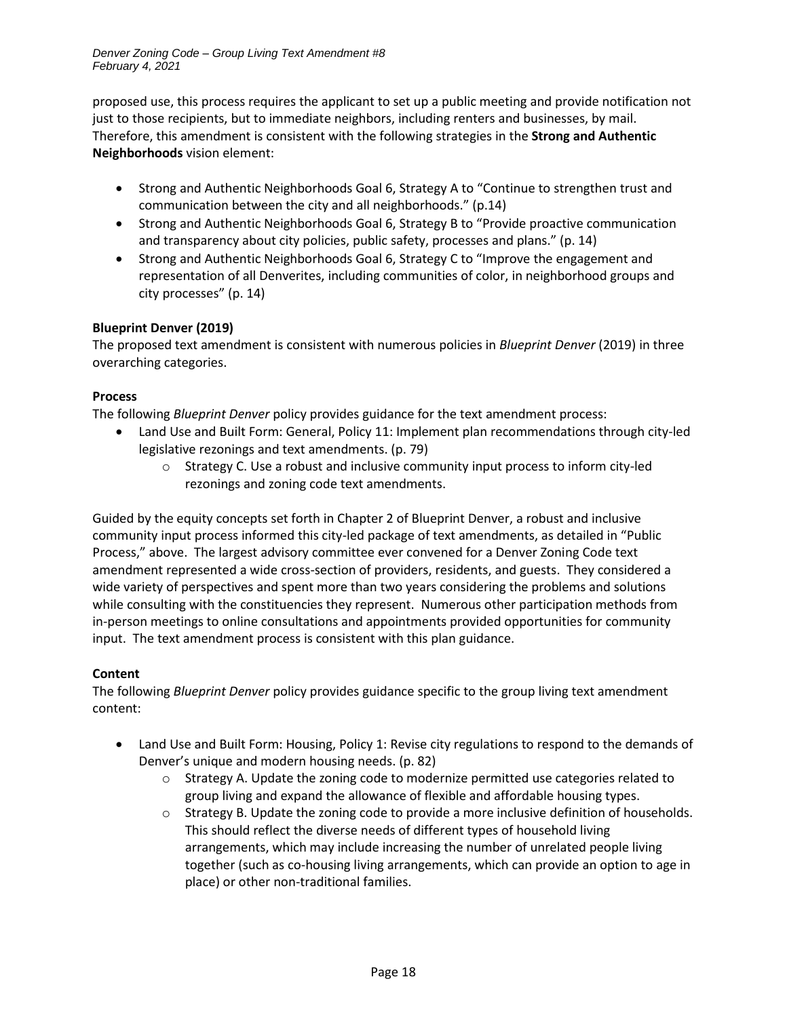proposed use, this process requires the applicant to set up a public meeting and provide notification not just to those recipients, but to immediate neighbors, including renters and businesses, by mail. Therefore, this amendment is consistent with the following strategies in the **Strong and Authentic Neighborhoods** vision element:

- Strong and Authentic Neighborhoods Goal 6, Strategy A to "Continue to strengthen trust and communication between the city and all neighborhoods." (p.14)
- Strong and Authentic Neighborhoods Goal 6, Strategy B to "Provide proactive communication and transparency about city policies, public safety, processes and plans." (p. 14)
- Strong and Authentic Neighborhoods Goal 6, Strategy C to "Improve the engagement and representation of all Denverites, including communities of color, in neighborhood groups and city processes" (p. 14)

# **Blueprint Denver (2019)**

The proposed text amendment is consistent with numerous policies in *Blueprint Denver* (2019) in three overarching categories.

# **Process**

The following *Blueprint Denver* policy provides guidance for the text amendment process:

- Land Use and Built Form: General, Policy 11: Implement plan recommendations through city-led legislative rezonings and text amendments. (p. 79)
	- $\circ$  Strategy C. Use a robust and inclusive community input process to inform city-led rezonings and zoning code text amendments.

Guided by the equity concepts set forth in Chapter 2 of Blueprint Denver, a robust and inclusive community input process informed this city-led package of text amendments, as detailed in "Public Process," above. The largest advisory committee ever convened for a Denver Zoning Code text amendment represented a wide cross-section of providers, residents, and guests. They considered a wide variety of perspectives and spent more than two years considering the problems and solutions while consulting with the constituencies they represent. Numerous other participation methods from in-person meetings to online consultations and appointments provided opportunities for community input. The text amendment process is consistent with this plan guidance.

# **Content**

The following *Blueprint Denver* policy provides guidance specific to the group living text amendment content:

- Land Use and Built Form: Housing, Policy 1: Revise city regulations to respond to the demands of Denver's unique and modern housing needs. (p. 82)
	- $\circ$  Strategy A. Update the zoning code to modernize permitted use categories related to group living and expand the allowance of flexible and affordable housing types.
	- $\circ$  Strategy B. Update the zoning code to provide a more inclusive definition of households. This should reflect the diverse needs of different types of household living arrangements, which may include increasing the number of unrelated people living together (such as co-housing living arrangements, which can provide an option to age in place) or other non-traditional families.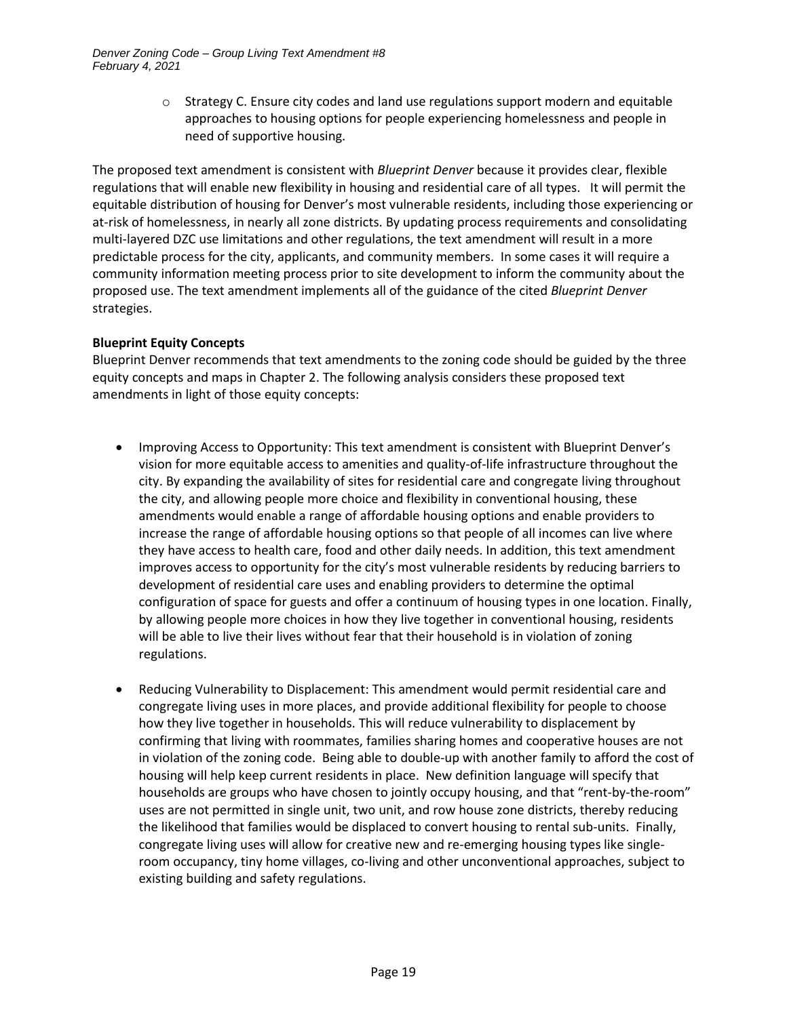$\circ$  Strategy C. Ensure city codes and land use regulations support modern and equitable approaches to housing options for people experiencing homelessness and people in need of supportive housing.

The proposed text amendment is consistent with *Blueprint Denver* because it provides clear, flexible regulations that will enable new flexibility in housing and residential care of all types. It will permit the equitable distribution of housing for Denver's most vulnerable residents, including those experiencing or at-risk of homelessness, in nearly all zone districts. By updating process requirements and consolidating multi-layered DZC use limitations and other regulations, the text amendment will result in a more predictable process for the city, applicants, and community members. In some cases it will require a community information meeting process prior to site development to inform the community about the proposed use. The text amendment implements all of the guidance of the cited *Blueprint Denver* strategies.

### **Blueprint Equity Concepts**

Blueprint Denver recommends that text amendments to the zoning code should be guided by the three equity concepts and maps in Chapter 2. The following analysis considers these proposed text amendments in light of those equity concepts:

- Improving Access to Opportunity: This text amendment is consistent with Blueprint Denver's vision for more equitable access to amenities and quality-of-life infrastructure throughout the city. By expanding the availability of sites for residential care and congregate living throughout the city, and allowing people more choice and flexibility in conventional housing, these amendments would enable a range of affordable housing options and enable providers to increase the range of affordable housing options so that people of all incomes can live where they have access to health care, food and other daily needs. In addition, this text amendment improves access to opportunity for the city's most vulnerable residents by reducing barriers to development of residential care uses and enabling providers to determine the optimal configuration of space for guests and offer a continuum of housing types in one location. Finally, by allowing people more choices in how they live together in conventional housing, residents will be able to live their lives without fear that their household is in violation of zoning regulations.
- Reducing Vulnerability to Displacement: This amendment would permit residential care and congregate living uses in more places, and provide additional flexibility for people to choose how they live together in households. This will reduce vulnerability to displacement by confirming that living with roommates, families sharing homes and cooperative houses are not in violation of the zoning code. Being able to double-up with another family to afford the cost of housing will help keep current residents in place. New definition language will specify that households are groups who have chosen to jointly occupy housing, and that "rent-by-the-room" uses are not permitted in single unit, two unit, and row house zone districts, thereby reducing the likelihood that families would be displaced to convert housing to rental sub-units. Finally, congregate living uses will allow for creative new and re-emerging housing types like singleroom occupancy, tiny home villages, co-living and other unconventional approaches, subject to existing building and safety regulations.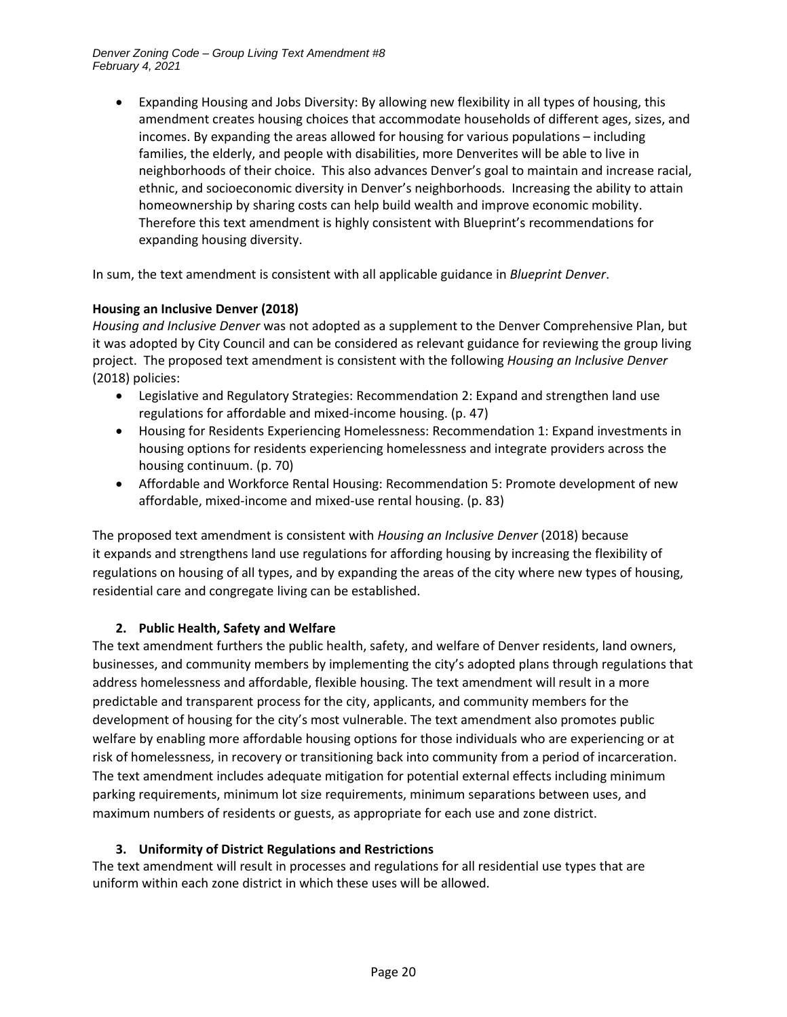• Expanding Housing and Jobs Diversity: By allowing new flexibility in all types of housing, this amendment creates housing choices that accommodate households of different ages, sizes, and incomes. By expanding the areas allowed for housing for various populations – including families, the elderly, and people with disabilities, more Denverites will be able to live in neighborhoods of their choice. This also advances Denver's goal to maintain and increase racial, ethnic, and socioeconomic diversity in Denver's neighborhoods. Increasing the ability to attain homeownership by sharing costs can help build wealth and improve economic mobility. Therefore this text amendment is highly consistent with Blueprint's recommendations for expanding housing diversity.

In sum, the text amendment is consistent with all applicable guidance in *Blueprint Denver*.

### **Housing an Inclusive Denver (2018)**

*Housing and Inclusive Denver* was not adopted as a supplement to the Denver Comprehensive Plan, but it was adopted by City Council and can be considered as relevant guidance for reviewing the group living project. The proposed text amendment is consistent with the following *Housing an Inclusive Denver* (2018) policies:

- Legislative and Regulatory Strategies: Recommendation 2: Expand and strengthen land use regulations for affordable and mixed-income housing. (p. 47)
- Housing for Residents Experiencing Homelessness: Recommendation 1: Expand investments in housing options for residents experiencing homelessness and integrate providers across the housing continuum. (p. 70)
- Affordable and Workforce Rental Housing: Recommendation 5: Promote development of new affordable, mixed-income and mixed-use rental housing. (p. 83)

The proposed text amendment is consistent with *Housing an Inclusive Denver* (2018) because it expands and strengthens land use regulations for affording housing by increasing the flexibility of regulations on housing of all types, and by expanding the areas of the city where new types of housing, residential care and congregate living can be established.

# **2. Public Health, Safety and Welfare**

The text amendment furthers the public health, safety, and welfare of Denver residents, land owners, businesses, and community members by implementing the city's adopted plans through regulations that address homelessness and affordable, flexible housing. The text amendment will result in a more predictable and transparent process for the city, applicants, and community members for the development of housing for the city's most vulnerable. The text amendment also promotes public welfare by enabling more affordable housing options for those individuals who are experiencing or at risk of homelessness, in recovery or transitioning back into community from a period of incarceration. The text amendment includes adequate mitigation for potential external effects including minimum parking requirements, minimum lot size requirements, minimum separations between uses, and maximum numbers of residents or guests, as appropriate for each use and zone district.

# **3. Uniformity of District Regulations and Restrictions**

The text amendment will result in processes and regulations for all residential use types that are uniform within each zone district in which these uses will be allowed.